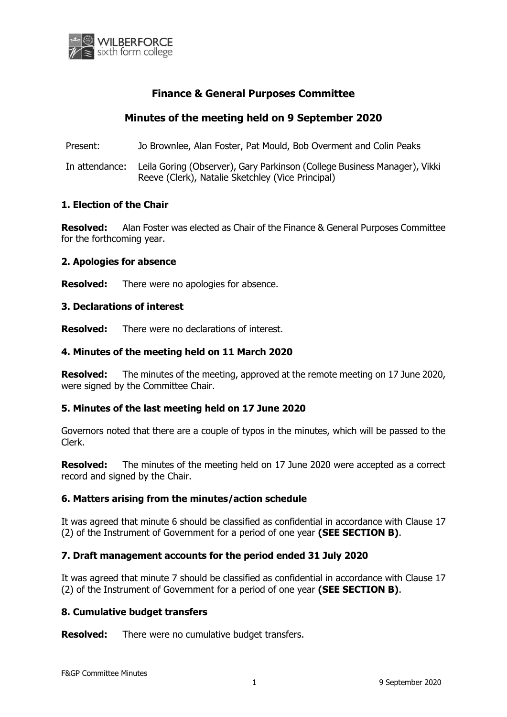

# **Finance & General Purposes Committee**

# **Minutes of the meeting held on 9 September 2020**

Present: Jo Brownlee, Alan Foster, Pat Mould, Bob Overment and Colin Peaks

In attendance: Leila Goring (Observer), Gary Parkinson (College Business Manager), Vikki Reeve (Clerk), Natalie Sketchley (Vice Principal)

## **1. Election of the Chair**

**Resolved:** Alan Foster was elected as Chair of the Finance & General Purposes Committee for the forthcoming year.

## **2. Apologies for absence**

**Resolved:** There were no apologies for absence.

## **3. Declarations of interest**

**Resolved:** There were no declarations of interest.

## **4. Minutes of the meeting held on 11 March 2020**

**Resolved:** The minutes of the meeting, approved at the remote meeting on 17 June 2020, were signed by the Committee Chair.

## **5. Minutes of the last meeting held on 17 June 2020**

Governors noted that there are a couple of typos in the minutes, which will be passed to the Clerk.

**Resolved:** The minutes of the meeting held on 17 June 2020 were accepted as a correct record and signed by the Chair.

## **6. Matters arising from the minutes/action schedule**

It was agreed that minute 6 should be classified as confidential in accordance with Clause 17 (2) of the Instrument of Government for a period of one year **(SEE SECTION B)**.

## **7. Draft management accounts for the period ended 31 July 2020**

It was agreed that minute 7 should be classified as confidential in accordance with Clause 17 (2) of the Instrument of Government for a period of one year **(SEE SECTION B)**.

## **8. Cumulative budget transfers**

**Resolved:** There were no cumulative budget transfers.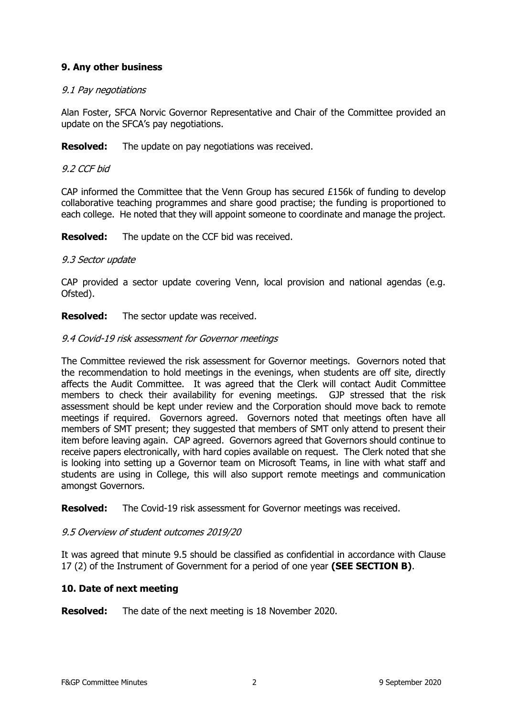## **9. Any other business**

## 9.1 Pay negotiations

Alan Foster, SFCA Norvic Governor Representative and Chair of the Committee provided an update on the SFCA's pay negotiations.

**Resolved:** The update on pay negotiations was received.

## 9.2 CCF bid

CAP informed the Committee that the Venn Group has secured £156k of funding to develop collaborative teaching programmes and share good practise; the funding is proportioned to each college. He noted that they will appoint someone to coordinate and manage the project.

**Resolved:** The update on the CCF bid was received.

## 9.3 Sector update

CAP provided a sector update covering Venn, local provision and national agendas (e.g. Ofsted).

**Resolved:** The sector update was received.

## 9.4 Covid-19 risk assessment for Governor meetings

The Committee reviewed the risk assessment for Governor meetings. Governors noted that the recommendation to hold meetings in the evenings, when students are off site, directly affects the Audit Committee. It was agreed that the Clerk will contact Audit Committee members to check their availability for evening meetings. GJP stressed that the risk assessment should be kept under review and the Corporation should move back to remote meetings if required. Governors agreed. Governors noted that meetings often have all members of SMT present; they suggested that members of SMT only attend to present their item before leaving again. CAP agreed. Governors agreed that Governors should continue to receive papers electronically, with hard copies available on request. The Clerk noted that she is looking into setting up a Governor team on Microsoft Teams, in line with what staff and students are using in College, this will also support remote meetings and communication amongst Governors.

**Resolved:** The Covid-19 risk assessment for Governor meetings was received.

## 9.5 Overview of student outcomes 2019/20

It was agreed that minute 9.5 should be classified as confidential in accordance with Clause 17 (2) of the Instrument of Government for a period of one year **(SEE SECTION B)**.

## **10. Date of next meeting**

**Resolved:** The date of the next meeting is 18 November 2020.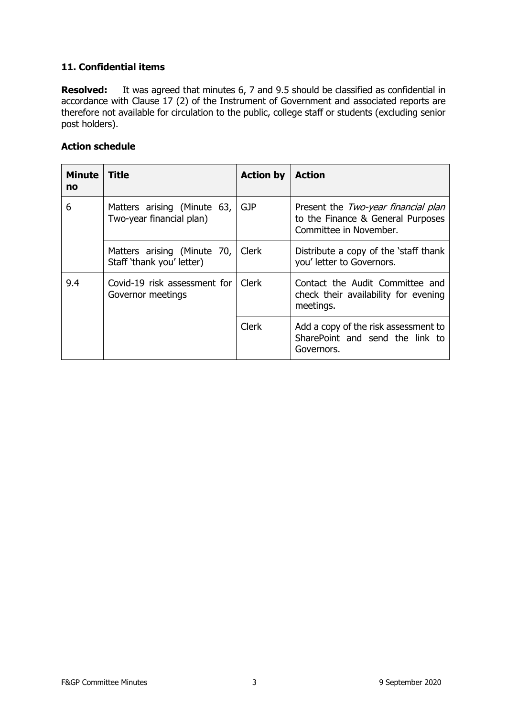## **11. Confidential items**

**Resolved:** It was agreed that minutes 6, 7 and 9.5 should be classified as confidential in accordance with Clause 17 (2) of the Instrument of Government and associated reports are therefore not available for circulation to the public, college staff or students (excluding senior post holders).

## **Action schedule**

| <b>Minute</b><br>no | <b>Title</b>                                             | <b>Action by</b> | <b>Action</b>                                                                                      |
|---------------------|----------------------------------------------------------|------------------|----------------------------------------------------------------------------------------------------|
| 6                   | Matters arising (Minute 63,<br>Two-year financial plan)  | <b>GJP</b>       | Present the Two-year financial plan<br>to the Finance & General Purposes<br>Committee in November. |
|                     | Matters arising (Minute 70,<br>Staff 'thank you' letter) | <b>Clerk</b>     | Distribute a copy of the 'staff thank<br>you' letter to Governors.                                 |
| 9.4                 | Covid-19 risk assessment for<br>Governor meetings        | Clerk            | Contact the Audit Committee and<br>check their availability for evening<br>meetings.               |
|                     |                                                          | <b>Clerk</b>     | Add a copy of the risk assessment to<br>SharePoint and send the link to<br>Governors.              |